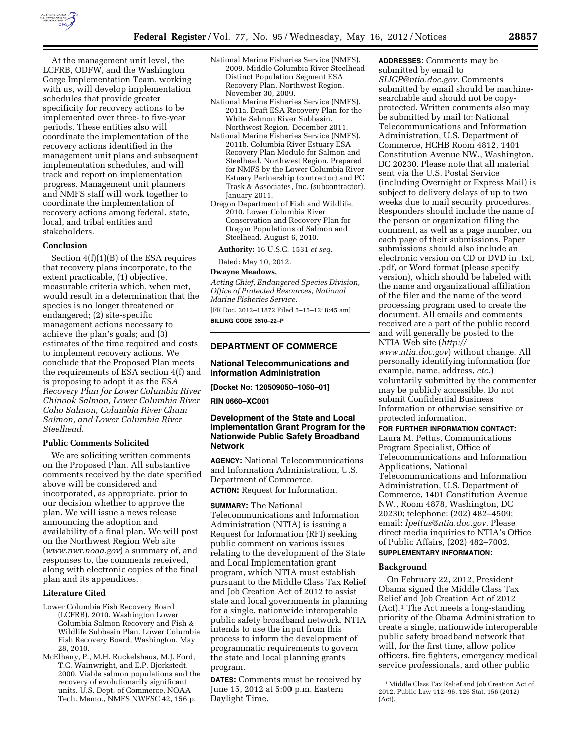

At the management unit level, the LCFRB, ODFW, and the Washington Gorge Implementation Team, working with us, will develop implementation schedules that provide greater specificity for recovery actions to be implemented over three- to five-year periods. These entities also will coordinate the implementation of the recovery actions identified in the management unit plans and subsequent implementation schedules, and will track and report on implementation progress. Management unit planners and NMFS staff will work together to coordinate the implementation of recovery actions among federal, state, local, and tribal entities and stakeholders.

### **Conclusion**

Section 4(f)(1)(B) of the ESA requires that recovery plans incorporate, to the extent practicable, (1) objective, measurable criteria which, when met, would result in a determination that the species is no longer threatened or endangered; (2) site-specific management actions necessary to achieve the plan's goals; and (3) estimates of the time required and costs to implement recovery actions. We conclude that the Proposed Plan meets the requirements of ESA section 4(f) and is proposing to adopt it as the *ESA Recovery Plan for Lower Columbia River Chinook Salmon, Lower Columbia River Coho Salmon, Columbia River Chum Salmon, and Lower Columbia River Steelhead.* 

#### **Public Comments Solicited**

We are soliciting written comments on the Proposed Plan. All substantive comments received by the date specified above will be considered and incorporated, as appropriate, prior to our decision whether to approve the plan. We will issue a news release announcing the adoption and availability of a final plan. We will post on the Northwest Region Web site (*[www.nwr.noaa.gov](http://www.nwr.noaa.gov)*) a summary of, and responses to, the comments received, along with electronic copies of the final plan and its appendices.

### **Literature Cited**

- Lower Columbia Fish Recovery Board (LCFRB). 2010. Washington Lower Columbia Salmon Recovery and Fish & Wildlife Subbasin Plan. Lower Columbia Fish Recovery Board, Washington. May 28, 2010.
- McElhany, P., M.H. Ruckelshaus, M.J. Ford, T.C. Wainwright, and E.P. Bjorkstedt. 2000. Viable salmon populations and the recovery of evolutionarily significant units. U.S. Dept. of Commerce, NOAA Tech. Memo., NMFS NWFSC 42, 156 p.
- National Marine Fisheries Service (NMFS). 2009. Middle Columbia River Steelhead Distinct Population Segment ESA Recovery Plan. Northwest Region. November 30, 2009.
- National Marine Fisheries Service (NMFS). 2011a. Draft ESA Recovery Plan for the White Salmon River Subbasin. Northwest Region. December 2011.
- National Marine Fisheries Service (NMFS). 2011b. Columbia River Estuary ESA Recovery Plan Module for Salmon and Steelhead. Northwest Region. Prepared for NMFS by the Lower Columbia River Estuary Partnership (contractor) and PC Trask & Associates, Inc. (subcontractor). January 2011.
- Oregon Department of Fish and Wildlife. 2010. Lower Columbia River Conservation and Recovery Plan for Oregon Populations of Salmon and Steelhead. August 6, 2010.

**Authority:** 16 U.S.C. 1531 *et seq.* 

# Dated: May 10, 2012.

### **Dwayne Meadows,**

*Acting Chief, Endangered Species Division, Office of Protected Resources, National Marine Fisheries Service.* 

[FR Doc. 2012–11872 Filed 5–15–12; 8:45 am] **BILLING CODE 3510–22–P** 

### **DEPARTMENT OF COMMERCE**

### **National Telecommunications and Information Administration**

**[Docket No: 120509050–1050–01]** 

**RIN 0660–XC001** 

# **Development of the State and Local Implementation Grant Program for the Nationwide Public Safety Broadband Network**

**AGENCY:** National Telecommunications and Information Administration, U.S. Department of Commerce.

**ACTION:** Request for Information.

#### **SUMMARY:** The National

Telecommunications and Information Administration (NTIA) is issuing a Request for Information (RFI) seeking public comment on various issues relating to the development of the State and Local Implementation grant program, which NTIA must establish pursuant to the Middle Class Tax Relief and Job Creation Act of 2012 to assist state and local governments in planning for a single, nationwide interoperable public safety broadband network. NTIA intends to use the input from this process to inform the development of programmatic requirements to govern the state and local planning grants program.

**DATES:** Comments must be received by June 15, 2012 at 5:00 p.m. Eastern Daylight Time.

**ADDRESSES:** Comments may be submitted by email to *[SLIGP@ntia.doc.gov.](mailto:SLIGP@ntia.doc.gov)* Comments submitted by email should be machinesearchable and should not be copyprotected. Written comments also may be submitted by mail to: National Telecommunications and Information Administration, U.S. Department of Commerce, HCHB Room 4812, 1401 Constitution Avenue NW., Washington, DC 20230. Please note that all material sent via the U.S. Postal Service (including Overnight or Express Mail) is subject to delivery delays of up to two weeks due to mail security procedures. Responders should include the name of the person or organization filing the comment, as well as a page number, on each page of their submissions. Paper submissions should also include an electronic version on CD or DVD in .txt, .pdf, or Word format (please specify version), which should be labeled with the name and organizational affiliation of the filer and the name of the word processing program used to create the document. All emails and comments received are a part of the public record and will generally be posted to the NTIA Web site (*[http://](http://www.ntia.doc.gov)  [www.ntia.doc.gov](http://www.ntia.doc.gov)*) without change. All personally identifying information (for example, name, address, *etc.*) voluntarily submitted by the commenter may be publicly accessible. Do not submit Confidential Business Information or otherwise sensitive or protected information.

#### **FOR FURTHER INFORMATION CONTACT:**

Laura M. Pettus, Communications Program Specialist, Office of Telecommunications and Information Applications, National Telecommunications and Information Administration, U.S. Department of Commerce, 1401 Constitution Avenue NW., Room 4878, Washington, DC 20230; telephone: (202) 482–4509; email: *[lpettus@ntia.doc.gov.](mailto:lpettus@ntia.doc.gov)* Please direct media inquiries to NTIA's Office of Public Affairs, (202) 482–7002.

# **SUPPLEMENTARY INFORMATION:**

### **Background**

On February 22, 2012, President Obama signed the Middle Class Tax Relief and Job Creation Act of 2012 (Act).1 The Act meets a long-standing priority of the Obama Administration to create a single, nationwide interoperable public safety broadband network that will, for the first time, allow police officers, fire fighters, emergency medical service professionals, and other public

<sup>1</sup>Middle Class Tax Relief and Job Creation Act of 2012, Public Law 112–96, 126 Stat. 156 (2012) (Act).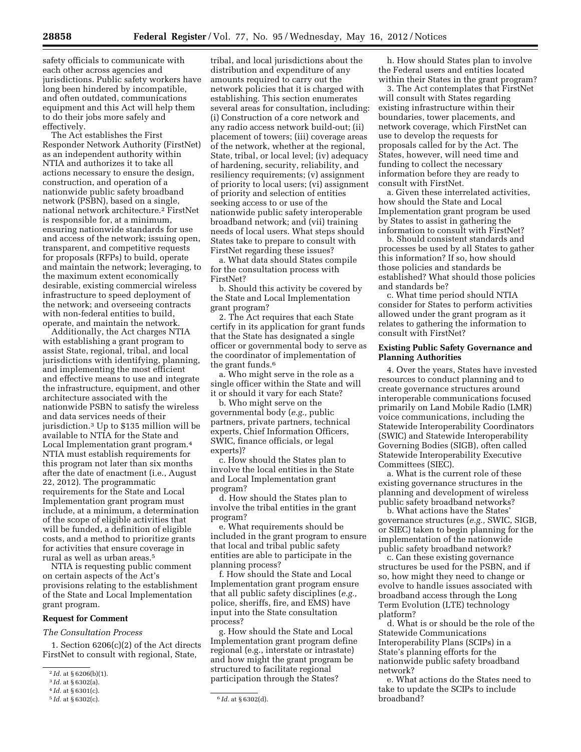safety officials to communicate with each other across agencies and jurisdictions. Public safety workers have long been hindered by incompatible, and often outdated, communications equipment and this Act will help them to do their jobs more safely and effectively.

The Act establishes the First Responder Network Authority (FirstNet) as an independent authority within NTIA and authorizes it to take all actions necessary to ensure the design, construction, and operation of a nationwide public safety broadband network (PSBN), based on a single, national network architecture.2 FirstNet is responsible for, at a minimum, ensuring nationwide standards for use and access of the network; issuing open, transparent, and competitive requests for proposals (RFPs) to build, operate and maintain the network; leveraging, to the maximum extent economically desirable, existing commercial wireless infrastructure to speed deployment of the network; and overseeing contracts with non-federal entities to build, operate, and maintain the network.

Additionally, the Act charges NTIA with establishing a grant program to assist State, regional, tribal, and local jurisdictions with identifying, planning, and implementing the most efficient and effective means to use and integrate the infrastructure, equipment, and other architecture associated with the nationwide PSBN to satisfy the wireless and data services needs of their jurisdiction.3 Up to \$135 million will be available to NTIA for the State and Local Implementation grant program.4 NTIA must establish requirements for this program not later than six months after the date of enactment (i.e., August 22, 2012). The programmatic requirements for the State and Local Implementation grant program must include, at a minimum, a determination of the scope of eligible activities that will be funded, a definition of eligible costs, and a method to prioritize grants for activities that ensure coverage in rural as well as urban areas.5

NTIA is requesting public comment on certain aspects of the Act's provisions relating to the establishment of the State and Local Implementation grant program.

#### **Request for Comment**

*The Consultation Process* 

1. Section 6206(c)(2) of the Act directs FirstNet to consult with regional, State,

tribal, and local jurisdictions about the distribution and expenditure of any amounts required to carry out the network policies that it is charged with establishing. This section enumerates several areas for consultation, including: (i) Construction of a core network and any radio access network build-out; (ii) placement of towers; (iii) coverage areas of the network, whether at the regional, State, tribal, or local level; (iv) adequacy of hardening, security, reliability, and resiliency requirements; (v) assignment of priority to local users; (vi) assignment of priority and selection of entities seeking access to or use of the nationwide public safety interoperable broadband network; and (vii) training needs of local users. What steps should States take to prepare to consult with FirstNet regarding these issues?

a. What data should States compile for the consultation process with FirstNet?

b. Should this activity be covered by the State and Local Implementation grant program?

2. The Act requires that each State certify in its application for grant funds that the State has designated a single officer or governmental body to serve as the coordinator of implementation of the grant funds.6

a. Who might serve in the role as a single officer within the State and will it or should it vary for each State?

b. Who might serve on the governmental body (*e.g.,* public partners, private partners, technical experts, Chief Information Officers, SWIC, finance officials, or legal experts)?

c. How should the States plan to involve the local entities in the State and Local Implementation grant program?

d. How should the States plan to involve the tribal entities in the grant program?

e. What requirements should be included in the grant program to ensure that local and tribal public safety entities are able to participate in the planning process?

f. How should the State and Local Implementation grant program ensure that all public safety disciplines (*e.g.,*  police, sheriffs, fire, and EMS) have input into the State consultation process?

g. How should the State and Local Implementation grant program define regional (e.g., interstate or intrastate) and how might the grant program be structured to facilitate regional participation through the States?

h. How should States plan to involve the Federal users and entities located within their States in the grant program?

3. The Act contemplates that FirstNet will consult with States regarding existing infrastructure within their boundaries, tower placements, and network coverage, which FirstNet can use to develop the requests for proposals called for by the Act. The States, however, will need time and funding to collect the necessary information before they are ready to consult with FirstNet.

a. Given these interrelated activities, how should the State and Local Implementation grant program be used by States to assist in gathering the information to consult with FirstNet?

b. Should consistent standards and processes be used by all States to gather this information? If so, how should those policies and standards be established? What should those policies and standards be?

c. What time period should NTIA consider for States to perform activities allowed under the grant program as it relates to gathering the information to consult with FirstNet?

### **Existing Public Safety Governance and Planning Authorities**

4. Over the years, States have invested resources to conduct planning and to create governance structures around interoperable communications focused primarily on Land Mobile Radio (LMR) voice communications, including the Statewide Interoperability Coordinators (SWIC) and Statewide Interoperability Governing Bodies (SIGB), often called Statewide Interoperability Executive Committees (SIEC).

a. What is the current role of these existing governance structures in the planning and development of wireless public safety broadband networks?

b. What actions have the States' governance structures (*e.g.,* SWIC, SIGB, or SIEC) taken to begin planning for the implementation of the nationwide public safety broadband network?

c. Can these existing governance structures be used for the PSBN, and if so, how might they need to change or evolve to handle issues associated with broadband access through the Long Term Evolution (LTE) technology platform?

d. What is or should be the role of the Statewide Communications Interoperability Plans (SCIPs) in a State's planning efforts for the nationwide public safety broadband network?

e. What actions do the States need to take to update the SCIPs to include broadband?

<sup>2</sup> *Id.* at § 6206(b)(1).

<sup>3</sup> *Id.* at § 6302(a).

 $4$  *Id.* at § 6301(c).<br> $5$  *Id.* at § 6302(c).

<sup>5</sup> *Id.* at § 6302(c). 6 *Id.* at § 6302(d).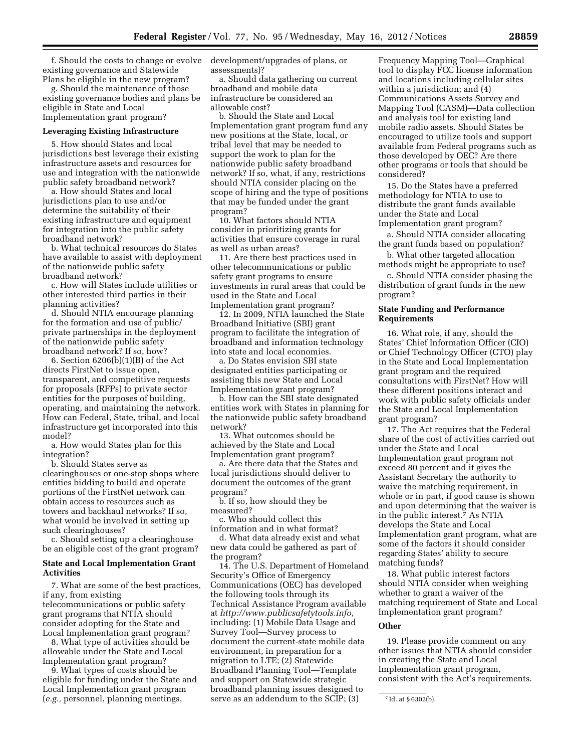f. Should the costs to change or evolve existing governance and Statewide Plans be eligible in the new program?

g. Should the maintenance of those existing governance bodies and plans be eligible in State and Local Implementation grant program?

#### **Leveraging Existing Infrastructure**

5. How should States and local jurisdictions best leverage their existing infrastructure assets and resources for use and integration with the nationwide public safety broadband network?

a. How should States and local jurisdictions plan to use and/or determine the suitability of their existing infrastructure and equipment for integration into the public safety broadband network?

b. What technical resources do States have available to assist with deployment of the nationwide public safety broadband network?

c. How will States include utilities or other interested third parties in their planning activities?

d. Should NTIA encourage planning for the formation and use of public/ private partnerships in the deployment of the nationwide public safety broadband network? If so, how?

6. Section 6206(b)(1)(B) of the Act directs FirstNet to issue open, transparent, and competitive requests for proposals (RFPs) to private sector entities for the purposes of building, operating, and maintaining the network. How can Federal, State, tribal, and local infrastructure get incorporated into this model?

a. How would States plan for this integration?

b. Should States serve as clearinghouses or one-stop shops where entities bidding to build and operate portions of the FirstNet network can obtain access to resources such as towers and backhaul networks? If so, what would be involved in setting up such clearinghouses?

c. Should setting up a clearinghouse be an eligible cost of the grant program?

### **State and Local Implementation Grant Activities**

7. What are some of the best practices, if any, from existing telecommunications or public safety grant programs that NTIA should consider adopting for the State and Local Implementation grant program?

8. What type of activities should be allowable under the State and Local Implementation grant program?

9. What types of costs should be eligible for funding under the State and Local Implementation grant program (*e.g.,* personnel, planning meetings,

development/upgrades of plans, or assessments)?

a. Should data gathering on current broadband and mobile data infrastructure be considered an allowable cost?

b. Should the State and Local Implementation grant program fund any new positions at the State, local, or tribal level that may be needed to support the work to plan for the nationwide public safety broadband network? If so, what, if any, restrictions should NTIA consider placing on the scope of hiring and the type of positions that may be funded under the grant program?

10. What factors should NTIA consider in prioritizing grants for activities that ensure coverage in rural as well as urban areas?

11. Are there best practices used in other telecommunications or public safety grant programs to ensure investments in rural areas that could be used in the State and Local Implementation grant program?

12. In 2009, NTIA launched the State Broadband Initiative (SBI) grant program to facilitate the integration of broadband and information technology into state and local economies.

a. Do States envision SBI state designated entities participating or assisting this new State and Local Implementation grant program?

b. How can the SBI state designated entities work with States in planning for the nationwide public safety broadband network?

13. What outcomes should be achieved by the State and Local Implementation grant program?

a. Are there data that the States and local jurisdictions should deliver to document the outcomes of the grant program?

b. If so, how should they be measured?

c. Who should collect this information and in what format?

d. What data already exist and what new data could be gathered as part of the program?

14. The U.S. Department of Homeland Security's Office of Emergency Communications (OEC) has developed the following tools through its Technical Assistance Program available at *[http://www.publicsafetytools.info,](http://www.publicsafetytools.info)*  including: (1) Mobile Data Usage and Survey Tool—Survey process to document the current-state mobile data environment, in preparation for a migration to LTE; (2) Statewide Broadband Planning Tool—Template and support on Statewide strategic broadband planning issues designed to serve as an addendum to the SCIP; (3)

Frequency Mapping Tool—Graphical tool to display FCC license information and locations including cellular sites within a jurisdiction; and (4) Communications Assets Survey and Mapping Tool (CASM)—Data collection and analysis tool for existing land mobile radio assets. Should States be encouraged to utilize tools and support available from Federal programs such as those developed by OEC? Are there other programs or tools that should be considered?

15. Do the States have a preferred methodology for NTIA to use to distribute the grant funds available under the State and Local Implementation grant program?

a. Should NTIA consider allocating the grant funds based on population?

b. What other targeted allocation methods might be appropriate to use?

c. Should NTIA consider phasing the distribution of grant funds in the new program?

### **State Funding and Performance Requirements**

16. What role, if any, should the States' Chief Information Officer (CIO) or Chief Technology Officer (CTO) play in the State and Local Implementation grant program and the required consultations with FirstNet? How will these different positions interact and work with public safety officials under the State and Local Implementation grant program?

17. The Act requires that the Federal share of the cost of activities carried out under the State and Local Implementation grant program not exceed 80 percent and it gives the Assistant Secretary the authority to waive the matching requirement, in whole or in part, if good cause is shown and upon determining that the waiver is in the public interest.7 As NTIA develops the State and Local Implementation grant program, what are some of the factors it should consider regarding States' ability to secure matching funds?

18. What public interest factors should NTIA consider when weighing whether to grant a waiver of the matching requirement of State and Local Implementation grant program?

### **Other**

19. Please provide comment on any other issues that NTIA should consider in creating the State and Local Implementation grant program, consistent with the Act's requirements.

<sup>7</sup> Id. at § 6302(b).